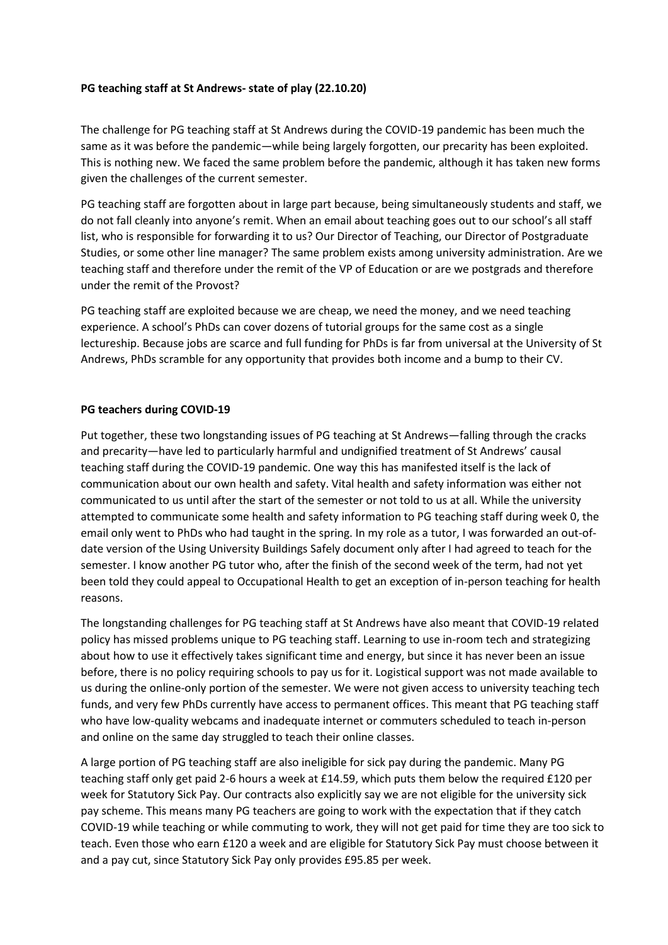## **PG teaching staff at St Andrews- state of play (22.10.20)**

The challenge for PG teaching staff at St Andrews during the COVID-19 pandemic has been much the same as it was before the pandemic—while being largely forgotten, our precarity has been exploited. This is nothing new. We faced the same problem before the pandemic, although it has taken new forms given the challenges of the current semester.

PG teaching staff are forgotten about in large part because, being simultaneously students and staff, we do not fall cleanly into anyone's remit. When an email about teaching goes out to our school's all staff list, who is responsible for forwarding it to us? Our Director of Teaching, our Director of Postgraduate Studies, or some other line manager? The same problem exists among university administration. Are we teaching staff and therefore under the remit of the VP of Education or are we postgrads and therefore under the remit of the Provost?

PG teaching staff are exploited because we are cheap, we need the money, and we need teaching experience. A school's PhDs can cover dozens of tutorial groups for the same cost as a single lectureship. Because jobs are scarce and full funding for PhDs is far from universal at the University of St Andrews, PhDs scramble for any opportunity that provides both income and a bump to their CV.

## **PG teachers during COVID-19**

Put together, these two longstanding issues of PG teaching at St Andrews—falling through the cracks and precarity—have led to particularly harmful and undignified treatment of St Andrews' causal teaching staff during the COVID-19 pandemic. One way this has manifested itself is the lack of communication about our own health and safety. Vital health and safety information was either not communicated to us until after the start of the semester or not told to us at all. While the university attempted to communicate some health and safety information to PG teaching staff during week 0, the email only went to PhDs who had taught in the spring. In my role as a tutor, I was forwarded an out-ofdate version of the Using University Buildings Safely document only after I had agreed to teach for the semester. I know another PG tutor who, after the finish of the second week of the term, had not yet been told they could appeal to Occupational Health to get an exception of in-person teaching for health reasons.

The longstanding challenges for PG teaching staff at St Andrews have also meant that COVID-19 related policy has missed problems unique to PG teaching staff. Learning to use in-room tech and strategizing about how to use it effectively takes significant time and energy, but since it has never been an issue before, there is no policy requiring schools to pay us for it. Logistical support was not made available to us during the online-only portion of the semester. We were not given access to university teaching tech funds, and very few PhDs currently have access to permanent offices. This meant that PG teaching staff who have low-quality webcams and inadequate internet or commuters scheduled to teach in-person and online on the same day struggled to teach their online classes.

A large portion of PG teaching staff are also ineligible for sick pay during the pandemic. Many PG teaching staff only get paid 2-6 hours a week at £14.59, which puts them below the required £120 per week for Statutory Sick Pay. Our contracts also explicitly say we are not eligible for the university sick pay scheme. This means many PG teachers are going to work with the expectation that if they catch COVID-19 while teaching or while commuting to work, they will not get paid for time they are too sick to teach. Even those who earn £120 a week and are eligible for Statutory Sick Pay must choose between it and a pay cut, since Statutory Sick Pay only provides £95.85 per week.